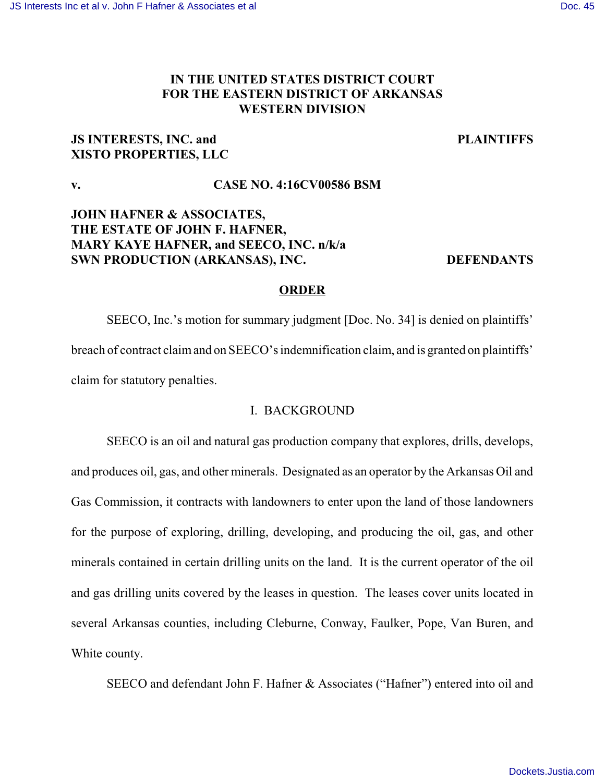# **IN THE UNITED STATES DISTRICT COURT FOR THE EASTERN DISTRICT OF ARKANSAS WESTERN DIVISION**

# **JS INTERESTS, INC. and PLAINTIFFS XISTO PROPERTIES, LLC**

# **v. CASE NO. 4:16CV00586 BSM**

# **JOHN HAFNER & ASSOCIATES, THE ESTATE OF JOHN F. HAFNER, MARY KAYE HAFNER, and SEECO, INC. n/k/a SWN PRODUCTION (ARKANSAS), INC. DEFENDANTS**

# **ORDER**

SEECO, Inc.'s motion for summary judgment [Doc. No. 34] is denied on plaintiffs' breach of contract claimand on SEECO's indemnification claim, and is granted on plaintiffs' claim for statutory penalties.

# I. BACKGROUND

SEECO is an oil and natural gas production company that explores, drills, develops, and produces oil, gas, and other minerals. Designated as an operator by the Arkansas Oil and Gas Commission, it contracts with landowners to enter upon the land of those landowners for the purpose of exploring, drilling, developing, and producing the oil, gas, and other minerals contained in certain drilling units on the land. It is the current operator of the oil and gas drilling units covered by the leases in question. The leases cover units located in several Arkansas counties, including Cleburne, Conway, Faulker, Pope, Van Buren, and White county.

SEECO and defendant John F. Hafner & Associates ("Hafner") entered into oil and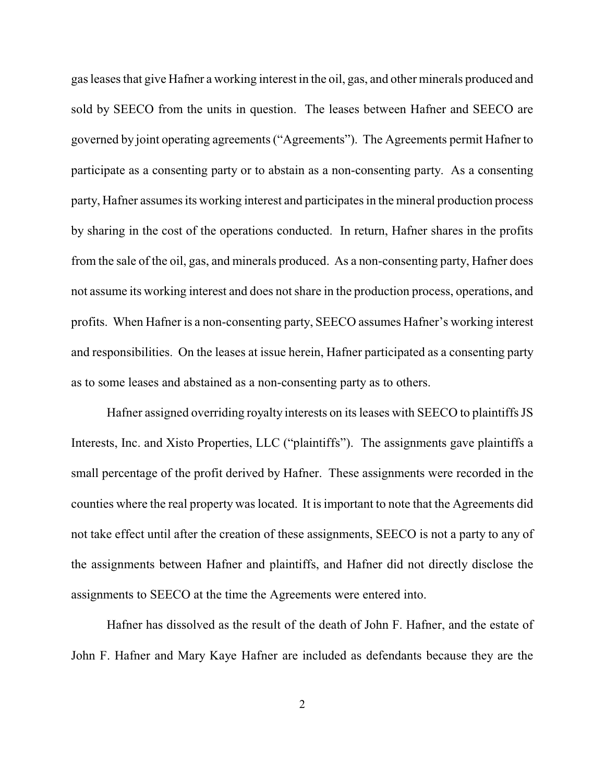gas leases that give Hafner a working interest in the oil, gas, and other minerals produced and sold by SEECO from the units in question. The leases between Hafner and SEECO are governed by joint operating agreements ("Agreements"). The Agreements permit Hafner to participate as a consenting party or to abstain as a non-consenting party. As a consenting party, Hafner assumes its working interest and participates in the mineral production process by sharing in the cost of the operations conducted. In return, Hafner shares in the profits from the sale of the oil, gas, and minerals produced. As a non-consenting party, Hafner does not assume its working interest and does not share in the production process, operations, and profits. When Hafner is a non-consenting party, SEECO assumes Hafner's working interest and responsibilities. On the leases at issue herein, Hafner participated as a consenting party as to some leases and abstained as a non-consenting party as to others.

Hafner assigned overriding royalty interests on its leases with SEECO to plaintiffs JS Interests, Inc. and Xisto Properties, LLC ("plaintiffs"). The assignments gave plaintiffs a small percentage of the profit derived by Hafner. These assignments were recorded in the counties where the real property was located. It is important to note that the Agreements did not take effect until after the creation of these assignments, SEECO is not a party to any of the assignments between Hafner and plaintiffs, and Hafner did not directly disclose the assignments to SEECO at the time the Agreements were entered into.

Hafner has dissolved as the result of the death of John F. Hafner, and the estate of John F. Hafner and Mary Kaye Hafner are included as defendants because they are the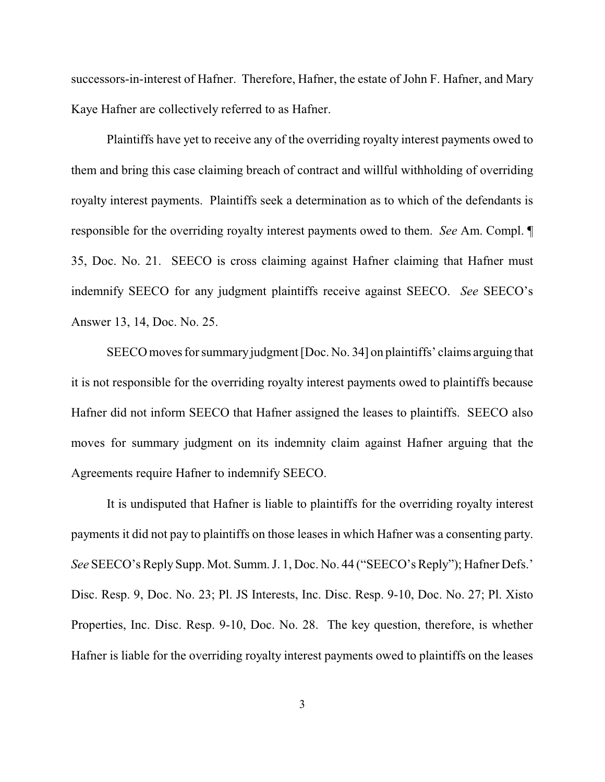successors-in-interest of Hafner. Therefore, Hafner, the estate of John F. Hafner, and Mary Kaye Hafner are collectively referred to as Hafner.

Plaintiffs have yet to receive any of the overriding royalty interest payments owed to them and bring this case claiming breach of contract and willful withholding of overriding royalty interest payments. Plaintiffs seek a determination as to which of the defendants is responsible for the overriding royalty interest payments owed to them. *See* Am. Compl. ¶ 35, Doc. No. 21. SEECO is cross claiming against Hafner claiming that Hafner must indemnify SEECO for any judgment plaintiffs receive against SEECO. *See* SEECO's Answer 13, 14, Doc. No. 25.

SEECO moves for summaryjudgment [Doc. No. 34] on plaintiffs' claims arguing that it is not responsible for the overriding royalty interest payments owed to plaintiffs because Hafner did not inform SEECO that Hafner assigned the leases to plaintiffs. SEECO also moves for summary judgment on its indemnity claim against Hafner arguing that the Agreements require Hafner to indemnify SEECO.

It is undisputed that Hafner is liable to plaintiffs for the overriding royalty interest payments it did not pay to plaintiffs on those leases in which Hafner was a consenting party. *See* SEECO's Reply Supp. Mot. Summ. J. 1, Doc. No. 44 ("SEECO's Reply"); Hafner Defs.' Disc. Resp. 9, Doc. No. 23; Pl. JS Interests, Inc. Disc. Resp. 9-10, Doc. No. 27; Pl. Xisto Properties, Inc. Disc. Resp. 9-10, Doc. No. 28. The key question, therefore, is whether Hafner is liable for the overriding royalty interest payments owed to plaintiffs on the leases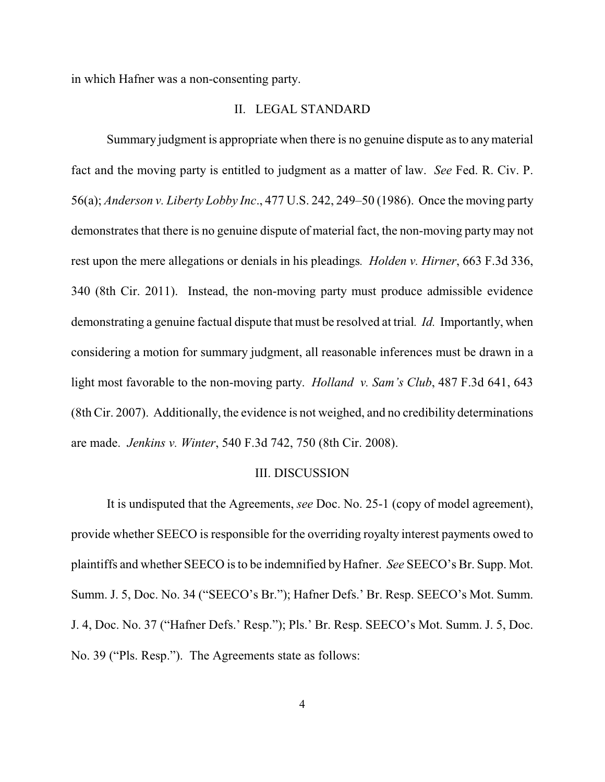in which Hafner was a non-consenting party.

#### II. LEGAL STANDARD

Summary judgment is appropriate when there is no genuine dispute as to anymaterial fact and the moving party is entitled to judgment as a matter of law. *See* Fed. R. Civ. P. 56(a); *Anderson v. Liberty Lobby Inc*., 477 U.S. 242, 249–50 (1986). Once the moving party demonstrates that there is no genuine dispute of material fact, the non-moving party may not rest upon the mere allegations or denials in his pleadings*. Holden v. Hirner*, 663 F.3d 336, 340 (8th Cir. 2011). Instead, the non-moving party must produce admissible evidence demonstrating a genuine factual dispute that must be resolved at trial*. Id.* Importantly, when considering a motion for summary judgment, all reasonable inferences must be drawn in a light most favorable to the non-moving party. *Holland v. Sam's Club*, 487 F.3d 641, 643 (8th Cir. 2007). Additionally, the evidence is not weighed, and no credibility determinations are made. *Jenkins v. Winter*, 540 F.3d 742, 750 (8th Cir. 2008).

#### III. DISCUSSION

It is undisputed that the Agreements, *see* Doc. No. 25-1 (copy of model agreement), provide whether SEECO is responsible for the overriding royalty interest payments owed to plaintiffs and whether SEECO is to be indemnified by Hafner. *See* SEECO's Br. Supp. Mot. Summ. J. 5, Doc. No. 34 ("SEECO's Br."); Hafner Defs.' Br. Resp. SEECO's Mot. Summ. J. 4, Doc. No. 37 ("Hafner Defs.' Resp."); Pls.' Br. Resp. SEECO's Mot. Summ. J. 5, Doc. No. 39 ("Pls. Resp."). The Agreements state as follows: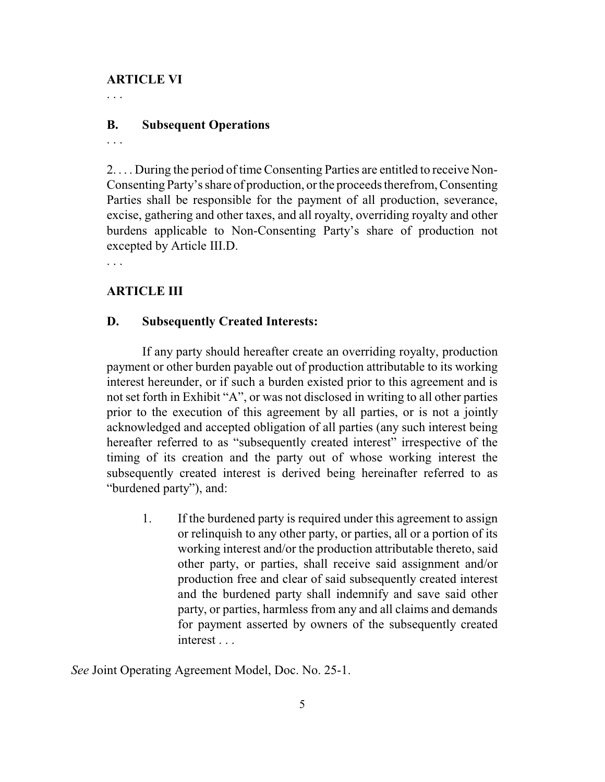# **ARTICLE VI**

. . .

# **B. Subsequent Operations**

. . .

2. . . . During the period of time Consenting Parties are entitled to receive Non-Consenting Party's share of production, or the proceeds therefrom, Consenting Parties shall be responsible for the payment of all production, severance, excise, gathering and other taxes, and all royalty, overriding royalty and other burdens applicable to Non-Consenting Party's share of production not excepted by Article III.D.

. . .

# **ARTICLE III**

## **D. Subsequently Created Interests:**

If any party should hereafter create an overriding royalty, production payment or other burden payable out of production attributable to its working interest hereunder, or if such a burden existed prior to this agreement and is not set forth in Exhibit "A", or was not disclosed in writing to all other parties prior to the execution of this agreement by all parties, or is not a jointly acknowledged and accepted obligation of all parties (any such interest being hereafter referred to as "subsequently created interest" irrespective of the timing of its creation and the party out of whose working interest the subsequently created interest is derived being hereinafter referred to as "burdened party"), and:

1. If the burdened party is required under this agreement to assign or relinquish to any other party, or parties, all or a portion of its working interest and/or the production attributable thereto, said other party, or parties, shall receive said assignment and/or production free and clear of said subsequently created interest and the burdened party shall indemnify and save said other party, or parties, harmless from any and all claims and demands for payment asserted by owners of the subsequently created interest . . .

*See* Joint Operating Agreement Model, Doc. No. 25-1.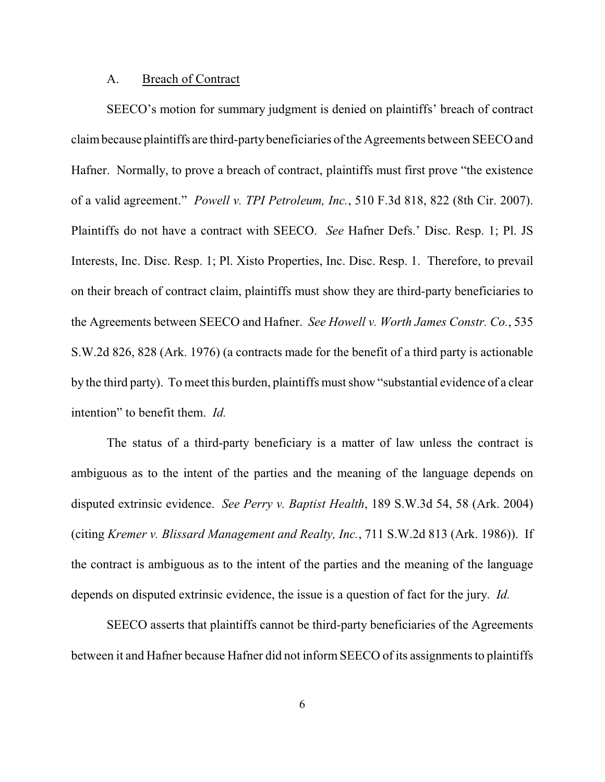#### A. Breach of Contract

SEECO's motion for summary judgment is denied on plaintiffs' breach of contract claimbecause plaintiffs are third-partybeneficiaries of the Agreements between SEECO and Hafner. Normally, to prove a breach of contract, plaintiffs must first prove "the existence of a valid agreement." *Powell v. TPI Petroleum, Inc.*, 510 F.3d 818, 822 (8th Cir. 2007). Plaintiffs do not have a contract with SEECO. *See* Hafner Defs.' Disc. Resp. 1; Pl. JS Interests, Inc. Disc. Resp. 1; Pl. Xisto Properties, Inc. Disc. Resp. 1. Therefore, to prevail on their breach of contract claim, plaintiffs must show they are third-party beneficiaries to the Agreements between SEECO and Hafner. *See Howell v. Worth James Constr. Co.*, 535 S.W.2d 826, 828 (Ark. 1976) (a contracts made for the benefit of a third party is actionable by the third party). To meet this burden, plaintiffs must show "substantial evidence of a clear intention" to benefit them. *Id.*

The status of a third-party beneficiary is a matter of law unless the contract is ambiguous as to the intent of the parties and the meaning of the language depends on disputed extrinsic evidence. *See Perry v. Baptist Health*, 189 S.W.3d 54, 58 (Ark. 2004) (citing *Kremer v. Blissard Management and Realty, Inc.*, 711 S.W.2d 813 (Ark. 1986)). If the contract is ambiguous as to the intent of the parties and the meaning of the language depends on disputed extrinsic evidence, the issue is a question of fact for the jury. *Id.* 

SEECO asserts that plaintiffs cannot be third-party beneficiaries of the Agreements between it and Hafner because Hafner did not inform SEECO of its assignments to plaintiffs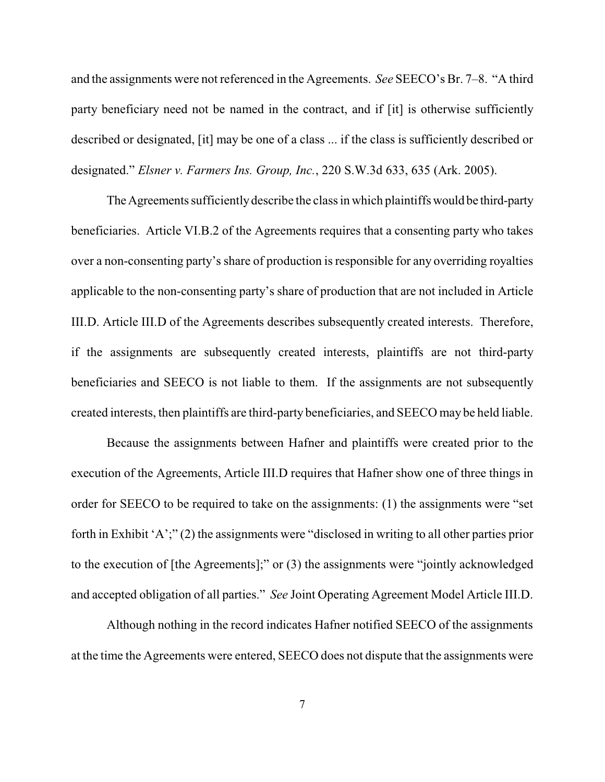and the assignments were not referenced in the Agreements. *See* SEECO's Br. 7–8. "A third party beneficiary need not be named in the contract, and if [it] is otherwise sufficiently described or designated, [it] may be one of a class ... if the class is sufficiently described or designated." *Elsner v. Farmers Ins. Group, Inc.*, 220 S.W.3d 633, 635 (Ark. 2005).

The Agreements sufficiently describe the class in which plaintiffs would be third-party beneficiaries. Article VI.B.2 of the Agreements requires that a consenting party who takes over a non-consenting party's share of production is responsible for any overriding royalties applicable to the non-consenting party's share of production that are not included in Article III.D. Article III.D of the Agreements describes subsequently created interests. Therefore, if the assignments are subsequently created interests, plaintiffs are not third-party beneficiaries and SEECO is not liable to them. If the assignments are not subsequently created interests, then plaintiffs are third-party beneficiaries, and SEECO may be held liable.

Because the assignments between Hafner and plaintiffs were created prior to the execution of the Agreements, Article III.D requires that Hafner show one of three things in order for SEECO to be required to take on the assignments: (1) the assignments were "set forth in Exhibit 'A';" (2) the assignments were "disclosed in writing to all other parties prior to the execution of [the Agreements];" or (3) the assignments were "jointly acknowledged and accepted obligation of all parties." *See* Joint Operating Agreement Model Article III.D.

Although nothing in the record indicates Hafner notified SEECO of the assignments at the time the Agreements were entered, SEECO does not dispute that the assignments were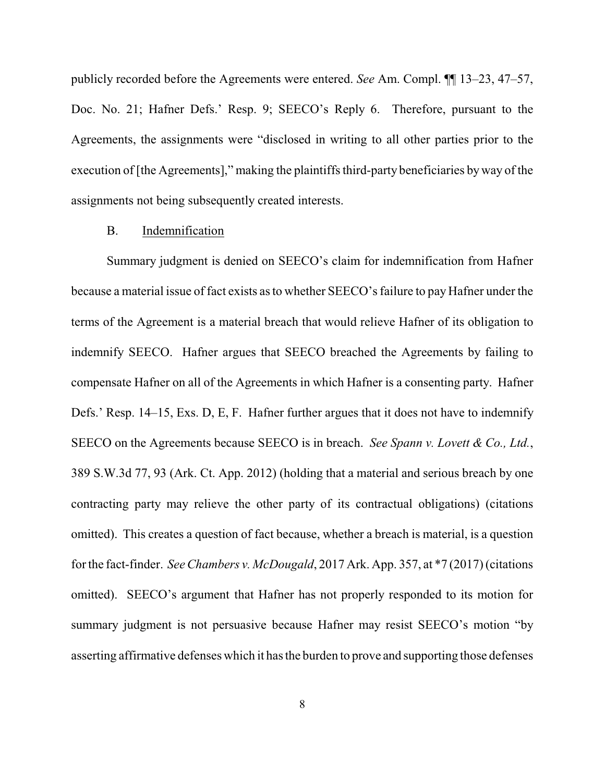publicly recorded before the Agreements were entered. *See* Am. Compl. ¶¶ 13–23, 47–57, Doc. No. 21; Hafner Defs.' Resp. 9; SEECO's Reply 6. Therefore, pursuant to the Agreements, the assignments were "disclosed in writing to all other parties prior to the execution of [the Agreements]," making the plaintiffs third-party beneficiaries byway of the assignments not being subsequently created interests.

### B. Indemnification

Summary judgment is denied on SEECO's claim for indemnification from Hafner because a material issue of fact exists as to whether SEECO's failure to pay Hafner under the terms of the Agreement is a material breach that would relieve Hafner of its obligation to indemnify SEECO. Hafner argues that SEECO breached the Agreements by failing to compensate Hafner on all of the Agreements in which Hafner is a consenting party. Hafner Defs.' Resp. 14–15, Exs. D, E, F. Hafner further argues that it does not have to indemnify SEECO on the Agreements because SEECO is in breach. *See Spann v. Lovett & Co., Ltd.*, 389 S.W.3d 77, 93 (Ark. Ct. App. 2012) (holding that a material and serious breach by one contracting party may relieve the other party of its contractual obligations) (citations omitted). This creates a question of fact because, whether a breach is material, is a question for the fact-finder. *See Chambers v. McDougald*, 2017 Ark. App. 357, at \*7 (2017) (citations omitted). SEECO's argument that Hafner has not properly responded to its motion for summary judgment is not persuasive because Hafner may resist SEECO's motion "by asserting affirmative defenses which it has the burden to prove and supporting those defenses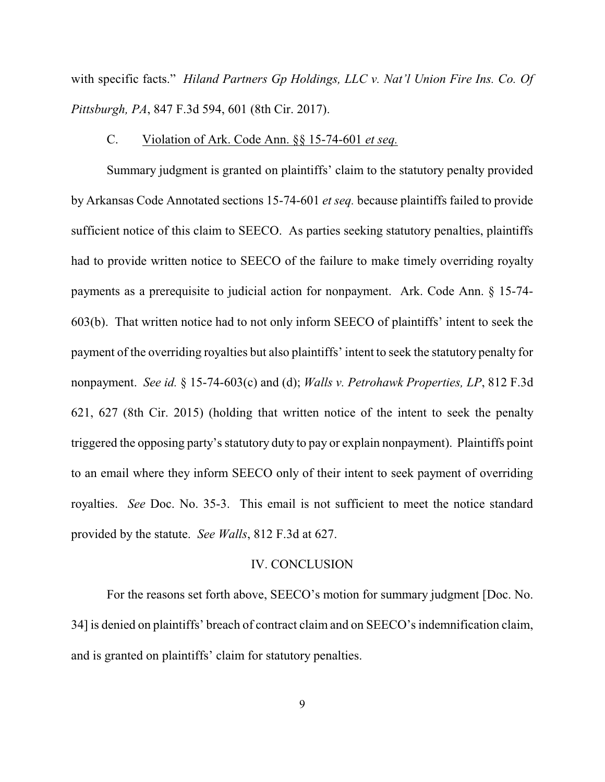with specific facts." *Hiland Partners Gp Holdings, LLC v. Nat'l Union Fire Ins. Co. Of Pittsburgh, PA*, 847 F.3d 594, 601 (8th Cir. 2017).

### C. Violation of Ark. Code Ann. §§ 15-74-601 *et seq.*

Summary judgment is granted on plaintiffs' claim to the statutory penalty provided by Arkansas Code Annotated sections 15-74-601 *et seq.* because plaintiffs failed to provide sufficient notice of this claim to SEECO. As parties seeking statutory penalties, plaintiffs had to provide written notice to SEECO of the failure to make timely overriding royalty payments as a prerequisite to judicial action for nonpayment. Ark. Code Ann. § 15-74- 603(b). That written notice had to not only inform SEECO of plaintiffs' intent to seek the payment of the overriding royalties but also plaintiffs' intent to seek the statutory penalty for nonpayment. *See id.* § 15-74-603(c) and (d); *Walls v. Petrohawk Properties, LP*, 812 F.3d 621, 627 (8th Cir. 2015) (holding that written notice of the intent to seek the penalty triggered the opposing party's statutory duty to pay or explain nonpayment). Plaintiffs point to an email where they inform SEECO only of their intent to seek payment of overriding royalties. *See* Doc. No. 35-3. This email is not sufficient to meet the notice standard provided by the statute. *See Walls*, 812 F.3d at 627.

# IV. CONCLUSION

For the reasons set forth above, SEECO's motion for summary judgment [Doc. No. 34] is denied on plaintiffs' breach of contract claim and on SEECO's indemnification claim, and is granted on plaintiffs' claim for statutory penalties.